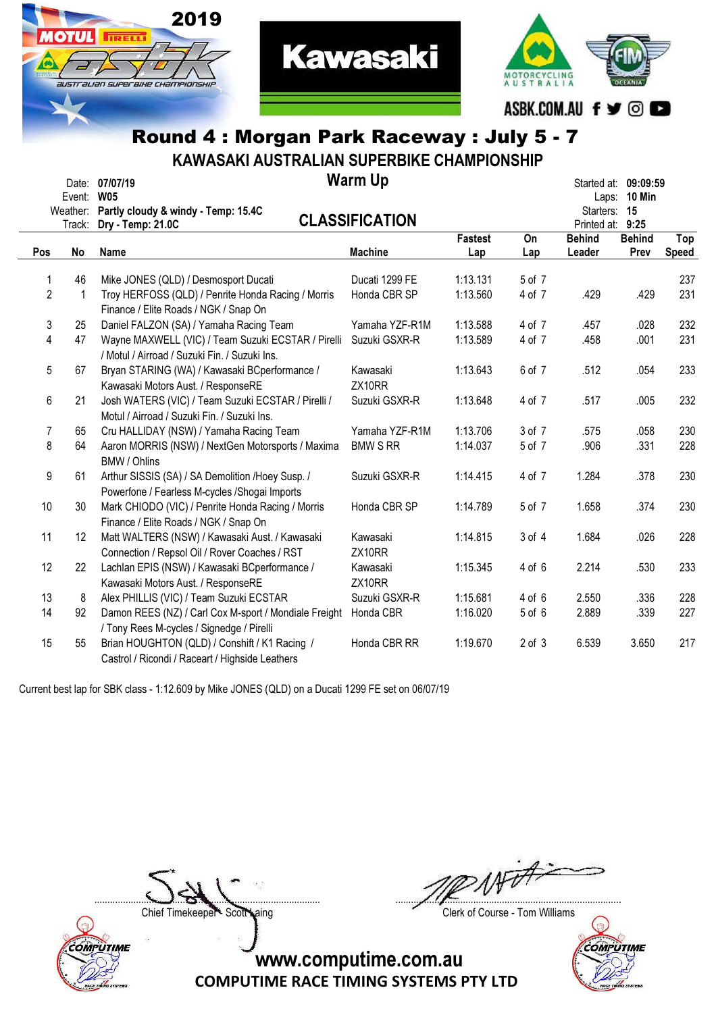

**TIRELL** 



# Round 4 : Morgan Park Raceway : July 5 - 7

KAWASAKI AUSTRALIAN SUPERBIKE CHAMPIONSHIP

| Event:<br>Weather: |              | Date: 07/07/19<br><b>W05</b><br>Partly cloudy & windy - Temp: 15.4C                                 | <b>Warm Up</b><br><b>CLASSIFICATION</b> |                       |            |                                             |                       | Started at: 09:09:59 |
|--------------------|--------------|-----------------------------------------------------------------------------------------------------|-----------------------------------------|-----------------------|------------|---------------------------------------------|-----------------------|----------------------|
| Pos                | Track:<br>No | Dry - Temp: 21.0C<br>Name                                                                           | <b>Machine</b>                          | <b>Fastest</b><br>Lap | On<br>Lap  | Printed at: 9:25<br><b>Behind</b><br>Leader | <b>Behind</b><br>Prev | Top<br>Speed         |
|                    |              |                                                                                                     |                                         |                       |            |                                             |                       |                      |
| 1                  | 46           | Mike JONES (QLD) / Desmosport Ducati                                                                | Ducati 1299 FE                          | 1:13.131              | 5 of 7     |                                             |                       | 237                  |
| $\overline{2}$     | 1            | Troy HERFOSS (QLD) / Penrite Honda Racing / Morris<br>Finance / Elite Roads / NGK / Snap On         | Honda CBR SP                            | 1:13.560              | 4 of 7     | .429                                        | .429                  | 231                  |
| 3                  | 25           | Daniel FALZON (SA) / Yamaha Racing Team                                                             | Yamaha YZF-R1M                          | 1:13.588              | 4 of 7     | .457                                        | .028                  | 232                  |
| 4                  | 47           | Wayne MAXWELL (VIC) / Team Suzuki ECSTAR / Pirelli<br>/ Motul / Airroad / Suzuki Fin. / Suzuki Ins. | Suzuki GSXR-R                           | 1:13.589              | 4 of 7     | .458                                        | .001                  | 231                  |
| 5                  | 67           | Bryan STARING (WA) / Kawasaki BCperformance /<br>Kawasaki Motors Aust. / ResponseRE                 | Kawasaki<br>ZX10RR                      | 1:13.643              | 6 of 7     | .512                                        | .054                  | 233                  |
| 6                  | 21           | Josh WATERS (VIC) / Team Suzuki ECSTAR / Pirelli /<br>Motul / Airroad / Suzuki Fin. / Suzuki Ins.   | Suzuki GSXR-R                           | 1:13.648              | 4 of 7     | .517                                        | .005                  | 232                  |
| 7                  | 65           | Cru HALLIDAY (NSW) / Yamaha Racing Team                                                             | Yamaha YZF-R1M                          | 1:13.706              | 3 of 7     | .575                                        | .058                  | 230                  |
| 8                  | 64           | Aaron MORRIS (NSW) / NextGen Motorsports / Maxima<br><b>BMW / Ohlins</b>                            | <b>BMW S RR</b>                         | 1:14.037              | 5 of 7     | .906                                        | .331                  | 228                  |
| 9                  | 61           | Arthur SISSIS (SA) / SA Demolition /Hoey Susp. /<br>Powerfone / Fearless M-cycles / Shogai Imports  | Suzuki GSXR-R                           | 1:14.415              | 4 of 7     | 1.284                                       | .378                  | 230                  |
| 10                 | 30           | Mark CHIODO (VIC) / Penrite Honda Racing / Morris<br>Finance / Elite Roads / NGK / Snap On          | Honda CBR SP                            | 1:14.789              | 5 of 7     | 1.658                                       | .374                  | 230                  |
| 11                 | 12           | Matt WALTERS (NSW) / Kawasaki Aust. / Kawasaki<br>Connection / Repsol Oil / Rover Coaches / RST     | Kawasaki<br>ZX10RR                      | 1:14.815              | 3 of 4     | 1.684                                       | .026                  | 228                  |
| 12                 | 22           | Lachlan EPIS (NSW) / Kawasaki BCperformance /<br>Kawasaki Motors Aust. / ResponseRE                 | Kawasaki<br>ZX10RR                      | 1:15.345              | $4$ of $6$ | 2.214                                       | .530                  | 233                  |
| 13                 | 8            | Alex PHILLIS (VIC) / Team Suzuki ECSTAR                                                             | Suzuki GSXR-R                           | 1:15.681              | $4$ of $6$ | 2.550                                       | .336                  | 228                  |
| 14                 | 92           | Damon REES (NZ) / Carl Cox M-sport / Mondiale Freight<br>/ Tony Rees M-cycles / Signedge / Pirelli  | Honda CBR                               | 1:16.020              | $5$ of $6$ | 2.889                                       | .339                  | 227                  |
| 15                 | 55           | Brian HOUGHTON (QLD) / Conshift / K1 Racing /<br>Castrol / Ricondi / Raceart / Highside Leathers    | Honda CBR RR                            | 1:19.670              | $2$ of $3$ | 6.539                                       | 3.650                 | 217                  |

Current best lap for SBK class - 1:12.609 by Mike JONES (QLD) on a Ducati 1299 FE set on 06/07/19



....................................................................................... .......................................................................................

Chief Timekeeper - Scott Laing Clerk of Course - Tom Williams

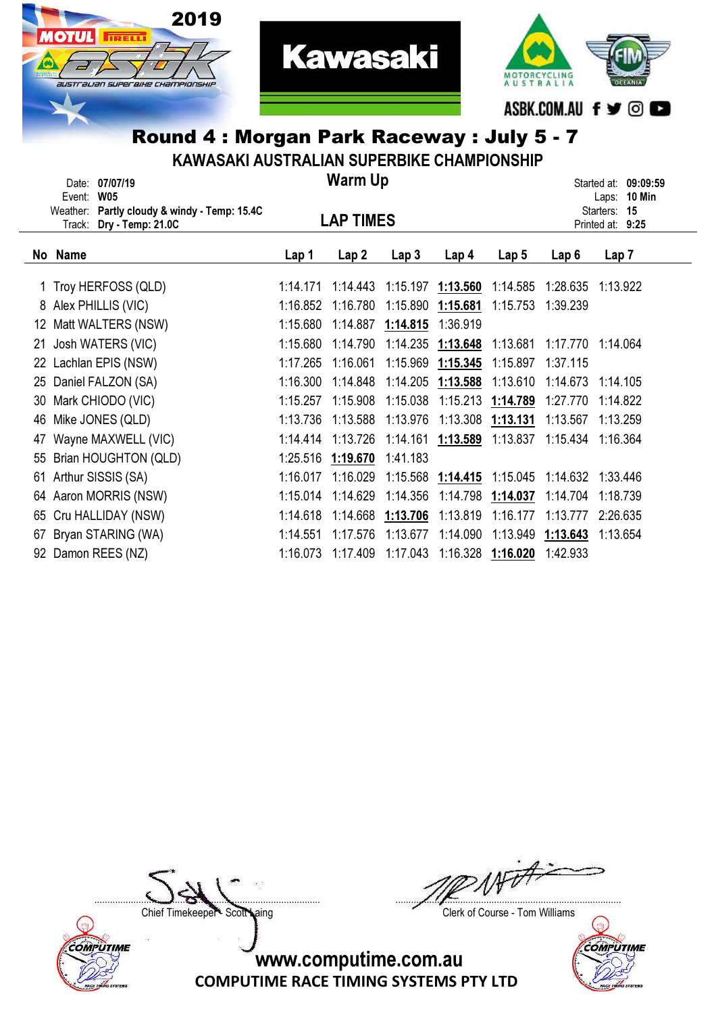



#### Round 4 : Morgan Park Raceway : July 5 - 7 KAWASAKI AUSTRALIAN SUPERBIKE CHAMPIONSHIP

**Kawasaki** 

| NAWAJANI AUJI NALIAN JUFENDINE UNAWFIUNJNIF |                                                 |          |                  |                   |                   |                  |          |                                         |  |  |
|---------------------------------------------|-------------------------------------------------|----------|------------------|-------------------|-------------------|------------------|----------|-----------------------------------------|--|--|
|                                             | Date: 07/07/19<br><b>W05</b><br>Event:          |          | <b>Warm Up</b>   |                   |                   |                  |          | Started at: 09:09:59<br>10 Min<br>Laps: |  |  |
|                                             | Partly cloudy & windy - Temp: 15.4C<br>Weather: |          |                  |                   |                   |                  |          | 15<br>Starters:                         |  |  |
|                                             | Dry - Temp: 21.0C<br>Track:                     |          | <b>LAP TIMES</b> |                   |                   |                  |          | Printed at: 9:25                        |  |  |
|                                             | No Name                                         | Lap 1    | Lap <sub>2</sub> | Lap <sub>3</sub>  | Lap <sub>4</sub>  | Lap <sub>5</sub> | Lap6     | Lap 7                                   |  |  |
|                                             | 1 Troy HERFOSS (QLD)                            | 1:14.171 | 1:14.443         | 1:15.197 1:13.560 |                   | 1:14.585         | 1:28.635 | 1:13.922                                |  |  |
|                                             | 8 Alex PHILLIS (VIC)                            | 1:16.852 | 1:16.780         | 1:15.890          | 1:15.681          | 1:15.753         | 1:39.239 |                                         |  |  |
| 12                                          | Matt WALTERS (NSW)                              | 1:15.680 | 1:14.887         | 1:14.815          | 1:36.919          |                  |          |                                         |  |  |
| 21                                          | Josh WATERS (VIC)                               | 1:15.680 | 1:14.790         | 1:14.235          | 1:13.648          | 1:13.681         | 1:17.770 | 1:14.064                                |  |  |
|                                             | 22 Lachlan EPIS (NSW)                           | 1:17.265 | 1:16.061         | 1:15.969          | 1:15.345          | 1:15.897         | 1:37.115 |                                         |  |  |
| 25                                          | Daniel FALZON (SA)                              | 1:16.300 | 1:14.848         | 1:14.205          | 1:13.588          | 1:13.610         | 1:14.673 | 1:14.105                                |  |  |
| 30                                          | Mark CHIODO (VIC)                               | 1:15.257 | 1:15.908         | 1:15.038          | 1:15.213          | 1:14.789         | 1:27.770 | 1:14.822                                |  |  |
| 46                                          | Mike JONES (QLD)                                | 1:13.736 | 1:13.588         | 1:13.976          | 1:13.308          | 1:13.131         | 1:13.567 | 1:13.259                                |  |  |
| 47                                          | Wayne MAXWELL (VIC)                             | 1:14.414 | 1:13.726         |                   | 1:14.161 1:13.589 | 1:13.837         | 1:15.434 | 1:16.364                                |  |  |
| 55                                          | Brian HOUGHTON (QLD)                            | 1:25.516 | 1:19.670         | 1:41.183          |                   |                  |          |                                         |  |  |
|                                             | 61 Arthur SISSIS (SA)                           | 1:16.017 | 1:16.029         |                   | 1:15.568 1:14.415 | 1:15.045         | 1:14.632 | 1:33.446                                |  |  |
|                                             | 64 Aaron MORRIS (NSW)                           | 1:15.014 | 1:14.629         | 1:14.356          | 1:14.798          | 1:14.037         | 1:14.704 | 1:18.739                                |  |  |
|                                             | 65 Cru HALLIDAY (NSW)                           | 1:14.618 | 1:14.668         | 1:13.706          | 1:13.819          | 1:16.177         | 1:13.777 | 2:26.635                                |  |  |
| 67                                          | Bryan STARING (WA)                              | 1:14.551 | 1:17.576         | 1:13.677          | 1:14.090          | 1:13.949         | 1:13.643 | 1:13.654                                |  |  |
| 92                                          | Damon REES (NZ)                                 | 1:16.073 | 1:17.409         | 1:17.043          | 1:16.328          | 1:16.020         | 1:42.933 |                                         |  |  |
|                                             |                                                 |          |                  |                   |                   |                  |          |                                         |  |  |



....................................................................................... .......................................................................................

Chief Timekeeper - Scott Laing Chief Timekeeper - Scott Laing

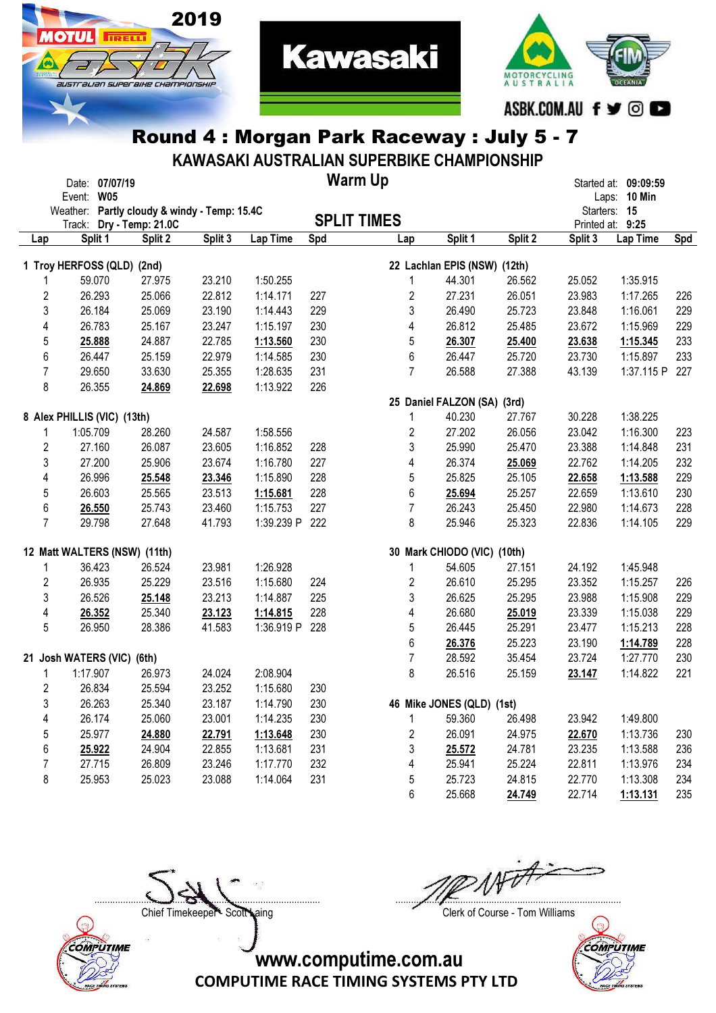



### Round 4 : Morgan Park Raceway : July 5 - 7

KAWASAKI AUSTRALIAN SUPERBIKE CHAMPIONSHIP

|                | Date: 07/07/19<br>Event: W05 |                                     |                                              |            |     | <b>Warm Up</b>     |                              |         |                             | Started at: 09:09:59<br>Laps: 10 Min |     |
|----------------|------------------------------|-------------------------------------|----------------------------------------------|------------|-----|--------------------|------------------------------|---------|-----------------------------|--------------------------------------|-----|
|                |                              |                                     | Weather: Partly cloudy & windy - Temp: 15.4C |            |     | <b>SPLIT TIMES</b> |                              |         | Starters: 15                |                                      |     |
| Lap            | Split 1                      | Track: Dry - Temp: 21.0C<br>Split 2 | Split 3                                      | Lap Time   | Spd | Lap                | Split 1                      | Split 2 | Printed at: 9:25<br>Split 3 | Lap Time                             | Spd |
|                |                              | 1 Troy HERFOSS (QLD) (2nd)          |                                              |            |     |                    | 22 Lachlan EPIS (NSW) (12th) |         |                             |                                      |     |
| 1              | 59.070                       | 27.975                              | 23.210                                       | 1:50.255   |     | 1                  | 44.301                       | 26.562  | 25.052                      | 1:35.915                             |     |
| 2              | 26.293                       | 25.066                              | 22.812                                       | 1:14.171   | 227 | 2                  | 27.231                       | 26.051  | 23.983                      | 1:17.265                             | 226 |
| 3              | 26.184                       | 25.069                              | 23.190                                       | 1:14.443   | 229 | 3                  | 26.490                       | 25.723  | 23.848                      | 1:16.061                             | 229 |
| 4              | 26.783                       | 25.167                              | 23.247                                       | 1:15.197   | 230 | 4                  | 26.812                       | 25.485  | 23.672                      | 1:15.969                             | 229 |
| 5              | 25.888                       | 24.887                              | 22.785                                       | 1:13.560   | 230 | 5                  | 26.307                       | 25.400  | 23.638                      | 1:15.345                             | 233 |
| 6              | 26.447                       | 25.159                              | 22.979                                       | 1:14.585   | 230 | $\,6$              | 26.447                       | 25.720  | 23.730                      | 1:15.897                             | 233 |
| $\overline{7}$ | 29.650                       | 33.630                              | 25.355                                       | 1:28.635   | 231 | $\overline{7}$     | 26.588                       | 27.388  | 43.139                      | 1:37.115 P                           | 227 |
| 8              | 26.355                       | 24.869                              | 22.698                                       | 1:13.922   | 226 |                    |                              |         |                             |                                      |     |
|                |                              |                                     |                                              |            |     |                    | 25 Daniel FALZON (SA) (3rd)  |         |                             |                                      |     |
|                | 8 Alex PHILLIS (VIC) (13th)  |                                     |                                              |            |     | 1                  | 40.230                       | 27.767  | 30.228                      | 1:38.225                             |     |
| 1              | 1:05.709                     | 28.260                              | 24.587                                       | 1:58.556   |     | 2                  | 27.202                       | 26.056  | 23.042                      | 1:16.300                             | 223 |
| 2              | 27.160                       | 26.087                              | 23.605                                       | 1:16.852   | 228 | 3                  | 25.990                       | 25.470  | 23.388                      | 1:14.848                             | 231 |
| 3              | 27.200                       | 25.906                              | 23.674                                       | 1:16.780   | 227 | 4                  | 26.374                       | 25.069  | 22.762                      | 1:14.205                             | 232 |
| 4              | 26.996                       | 25.548                              | 23.346                                       | 1:15.890   | 228 | 5                  | 25.825                       | 25.105  | 22.658                      | 1:13.588                             | 229 |
| 5              | 26.603                       | 25.565                              | 23.513                                       | 1:15.681   | 228 | 6                  | 25.694                       | 25.257  | 22.659                      | 1:13.610                             | 230 |
| 6              | 26.550                       | 25.743                              | 23.460                                       | 1:15.753   | 227 | $\overline{7}$     | 26.243                       | 25.450  | 22.980                      | 1:14.673                             | 228 |
| $\overline{7}$ | 29.798                       | 27.648                              | 41.793                                       | 1:39.239 P | 222 | 8                  | 25.946                       | 25.323  | 22.836                      | 1:14.105                             | 229 |
|                |                              | 12 Matt WALTERS (NSW) (11th)        |                                              |            |     |                    | 30 Mark CHIODO (VIC) (10th)  |         |                             |                                      |     |
| 1              | 36.423                       | 26.524                              | 23.981                                       | 1:26.928   |     | 1                  | 54.605                       | 27.151  | 24.192                      | 1:45.948                             |     |
| 2              | 26.935                       | 25.229                              | 23.516                                       | 1:15.680   | 224 | 2                  | 26.610                       | 25.295  | 23.352                      | 1:15.257                             | 226 |
| 3              | 26.526                       | 25.148                              | 23.213                                       | 1:14.887   | 225 | 3                  | 26.625                       | 25.295  | 23.988                      | 1:15.908                             | 229 |
| 4              | 26.352                       | 25.340                              | 23.123                                       | 1:14.815   | 228 | 4                  | 26.680                       | 25.019  | 23.339                      | 1:15.038                             | 229 |
| 5              | 26.950                       | 28.386                              | 41.583                                       | 1:36.919 P | 228 | 5                  | 26.445                       | 25.291  | 23.477                      | 1:15.213                             | 228 |
|                |                              |                                     |                                              |            |     | $\,6$              | 26.376                       | 25.223  | 23.190                      | 1:14.789                             | 228 |
|                |                              | 21 Josh WATERS (VIC) (6th)          |                                              |            |     | $\overline{7}$     | 28.592                       | 35.454  | 23.724                      | 1:27.770                             | 230 |
| 1              | 1:17.907                     | 26.973                              | 24.024                                       | 2:08.904   |     | 8                  | 26.516                       | 25.159  | 23.147                      | 1:14.822                             | 221 |
| 2              | 26.834                       | 25.594                              | 23.252                                       | 1:15.680   | 230 |                    |                              |         |                             |                                      |     |
| 3              | 26.263                       | 25.340                              | 23.187                                       | 1:14.790   | 230 |                    | 46 Mike JONES (QLD) (1st)    |         |                             |                                      |     |
| 4              | 26.174                       | 25.060                              | 23.001                                       | 1:14.235   | 230 | 1                  | 59.360                       | 26.498  | 23.942                      | 1:49.800                             |     |
| 5              | 25.977                       | 24.880                              | 22.791                                       | 1:13.648   | 230 | 2                  | 26.091                       | 24.975  | 22.670                      | 1:13.736                             | 230 |
| 6              | 25.922                       | 24.904                              | 22.855                                       | 1:13.681   | 231 | 3                  | 25.572                       | 24.781  | 23.235                      | 1:13.588                             | 236 |
| 7              | 27.715                       | 26.809                              | 23.246                                       | 1:17.770   | 232 | 4                  | 25.941                       | 25.224  | 22.811                      | 1:13.976                             | 234 |
| 8              | 25.953                       | 25.023                              | 23.088                                       | 1:14.064   | 231 | 5                  | 25.723                       | 24.815  | 22.770                      | 1:13.308                             | 234 |
|                |                              |                                     |                                              |            |     | 6                  | 25.668                       | 24.749  | 22.714                      | 1:13.131                             | 235 |



**OTIJL** 

**TRELL** 

....................................................................................... .......................................................................................

Chief Timekeeper - Scott Laing Chief Timekeeper - Scott Laing

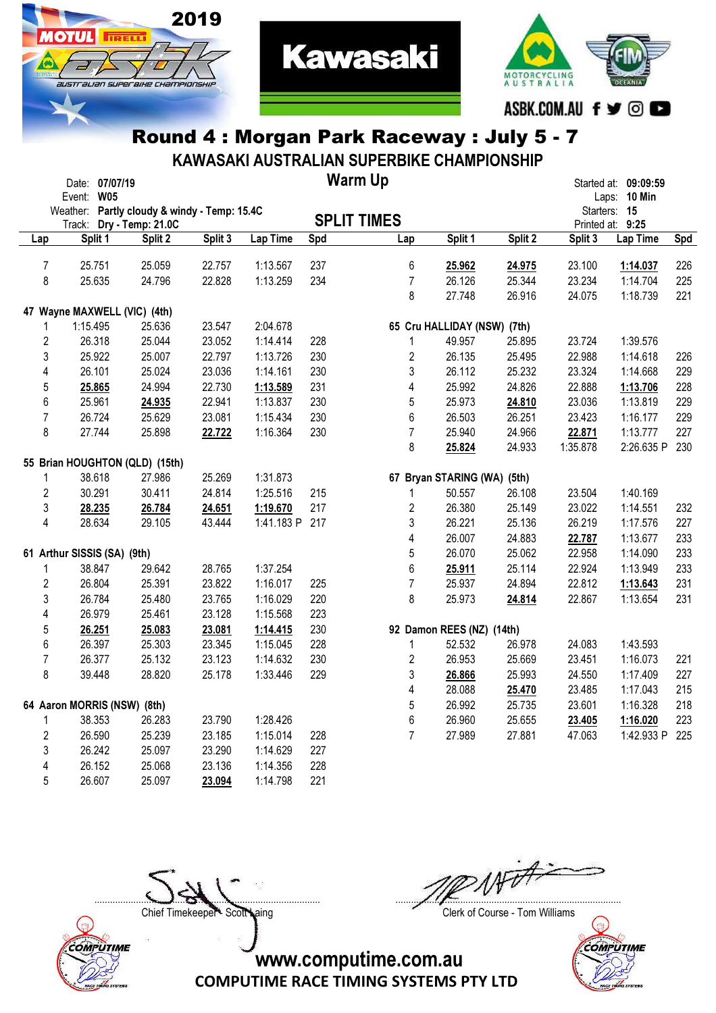

**TRELL** 

australian superaike championskik

**ОТШ** 



# Round 4 : Morgan Park Raceway : July 5 - 7

KAWASAKI AUSTRALIAN SUPERBIKE CHAMPIONSHIP

|                         | Date: 07/07/19<br>Event: W05 |         |                                              |         |                |     | <b>Warm Up</b>              |         |         |          | Started at: 09:09:59<br>Laps: 10 Min |     |
|-------------------------|------------------------------|---------|----------------------------------------------|---------|----------------|-----|-----------------------------|---------|---------|----------|--------------------------------------|-----|
|                         |                              |         | Weather: Partly cloudy & windy - Temp: 15.4C |         |                |     |                             |         |         |          | Starters: 15                         |     |
|                         | Track:                       |         | Dry - Temp: 21.0C                            |         |                |     | <b>SPLIT TIMES</b>          |         |         |          | Printed at: 9:25                     |     |
| Lap                     |                              | Split 1 | Split 2                                      | Split 3 | Lap Time       | Spd | Lap                         | Split 1 | Split 2 | Split 3  | Lap Time                             | Spd |
|                         |                              |         |                                              |         |                |     |                             |         |         |          |                                      |     |
| $\overline{7}$          | 25.751                       |         | 25.059                                       | 22.757  | 1:13.567       | 237 | $6\,$                       | 25.962  | 24.975  | 23.100   | 1:14.037                             | 226 |
| 8                       | 25.635                       |         | 24.796                                       | 22.828  | 1:13.259       | 234 | $\overline{7}$              | 26.126  | 25.344  | 23.234   | 1:14.704                             | 225 |
|                         |                              |         |                                              |         |                |     | 8                           | 27.748  | 26.916  | 24.075   | 1:18.739                             | 221 |
|                         |                              |         | 47 Wayne MAXWELL (VIC) (4th)                 |         |                |     |                             |         |         |          |                                      |     |
|                         | 1:15.495                     |         | 25.636                                       | 23.547  | 2:04.678       |     | 65 Cru HALLIDAY (NSW) (7th) |         |         |          |                                      |     |
| $\overline{\mathbf{c}}$ | 26.318                       |         | 25.044                                       | 23.052  | 1:14.414       | 228 | $\mathbf{1}$                | 49.957  | 25.895  | 23.724   | 1:39.576                             |     |
| 3                       | 25.922                       |         | 25.007                                       | 22.797  | 1:13.726       | 230 | 2                           | 26.135  | 25.495  | 22.988   | 1:14.618                             | 226 |
| 4                       | 26.101                       |         | 25.024                                       | 23.036  | 1:14.161       | 230 | 3                           | 26.112  | 25.232  | 23.324   | 1:14.668                             | 229 |
| 5                       | 25.865                       |         | 24.994                                       | 22.730  | 1:13.589       | 231 | 4                           | 25.992  | 24.826  | 22.888   | 1:13.706                             | 228 |
| 6                       | 25.961                       |         | 24.935                                       | 22.941  | 1:13.837       | 230 | 5                           | 25.973  | 24.810  | 23.036   | 1:13.819                             | 229 |
| $\overline{7}$          | 26.724                       |         | 25.629                                       | 23.081  | 1:15.434       | 230 | 6                           | 26.503  | 26.251  | 23.423   | 1:16.177                             | 229 |
| 8                       | 27.744                       |         | 25.898                                       | 22.722  | 1:16.364       | 230 | $\overline{7}$              | 25.940  | 24.966  | 22.871   | 1:13.777                             | 227 |
|                         |                              |         |                                              |         |                |     | 8                           | 25.824  | 24.933  | 1:35.878 | 2:26.635 P                           | 230 |
|                         |                              |         | 55 Brian HOUGHTON (QLD) (15th)               |         |                |     |                             |         |         |          |                                      |     |
| 1                       | 38.618                       |         | 27.986                                       | 25.269  | 1:31.873       |     | 67 Bryan STARING (WA) (5th) |         |         |          |                                      |     |
| $\overline{c}$          | 30.291                       |         | 30.411                                       | 24.814  | 1:25.516       | 215 | 1                           | 50.557  | 26.108  | 23.504   | 1:40.169                             |     |
| 3                       | 28.235                       |         | 26.784                                       | 24.651  | 1:19.670       | 217 | 2                           | 26.380  | 25.149  | 23.022   | 1:14.551                             | 232 |
| 4                       | 28.634                       |         | 29.105                                       | 43.444  | 1:41.183 P 217 |     | 3                           | 26.221  | 25.136  | 26.219   | 1:17.576                             | 227 |
|                         |                              |         |                                              |         |                |     | 4                           | 26.007  | 24.883  | 22.787   | 1:13.677                             | 233 |
|                         | 61 Arthur SISSIS (SA) (9th)  |         |                                              |         |                |     | 5                           | 26.070  | 25.062  | 22.958   | 1:14.090                             | 233 |
| 1                       | 38.847                       |         | 29.642                                       | 28.765  | 1:37.254       |     | 6                           | 25.911  | 25.114  | 22.924   | 1:13.949                             | 233 |
| $\overline{2}$          | 26.804                       |         | 25.391                                       | 23.822  | 1:16.017       | 225 | $\overline{7}$              | 25.937  | 24.894  | 22.812   | 1:13.643                             | 231 |
| 3                       | 26.784                       |         | 25.480                                       | 23.765  | 1:16.029       | 220 | 8                           | 25.973  | 24.814  | 22.867   | 1:13.654                             | 231 |
| 4                       | 26.979                       |         | 25.461                                       | 23.128  | 1:15.568       | 223 |                             |         |         |          |                                      |     |
| 5                       | 26.251                       |         | 25.083                                       | 23.081  | 1:14.415       | 230 | 92 Damon REES (NZ) (14th)   |         |         |          |                                      |     |
| 6                       | 26.397                       |         | 25.303                                       | 23.345  | 1:15.045       | 228 | $\mathbf{1}$                | 52.532  | 26.978  | 24.083   | 1:43.593                             |     |
| $\overline{7}$          | 26.377                       |         | 25.132                                       | 23.123  | 1:14.632       | 230 | $\overline{2}$              | 26.953  | 25.669  | 23.451   | 1:16.073                             | 221 |
| 8                       | 39.448                       |         | 28.820                                       | 25.178  | 1:33.446       | 229 | 3                           | 26.866  | 25.993  | 24.550   | 1:17.409                             | 227 |
|                         |                              |         |                                              |         |                |     | 4                           | 28.088  | 25.470  | 23.485   | 1:17.043                             | 215 |
|                         | 64 Aaron MORRIS (NSW) (8th)  |         |                                              |         |                |     | 5                           | 26.992  | 25.735  | 23.601   | 1:16.328                             | 218 |
| 1                       | 38.353                       |         | 26.283                                       | 23.790  | 1:28.426       |     | 6                           | 26.960  | 25.655  | 23.405   | 1:16.020                             | 223 |
| $\overline{2}$          | 26.590                       |         | 25.239                                       | 23.185  | 1:15.014       | 228 | $\overline{7}$              | 27.989  | 27.881  | 47.063   | 1:42.933 P                           | 225 |
| 3                       | 26.242                       |         | 25.097                                       | 23.290  | 1:14.629       | 227 |                             |         |         |          |                                      |     |
| 4                       | 26.152                       |         | 25.068                                       | 23.136  | 1:14.356       | 228 |                             |         |         |          |                                      |     |
| 5                       | 26.607                       |         | 25.097                                       | 23.094  | 1:14.798       | 221 |                             |         |         |          |                                      |     |



....................................................................................... .......................................................................................

Chief Timekeeper - Scott Laing Chief Timekeeper - Scott Laing

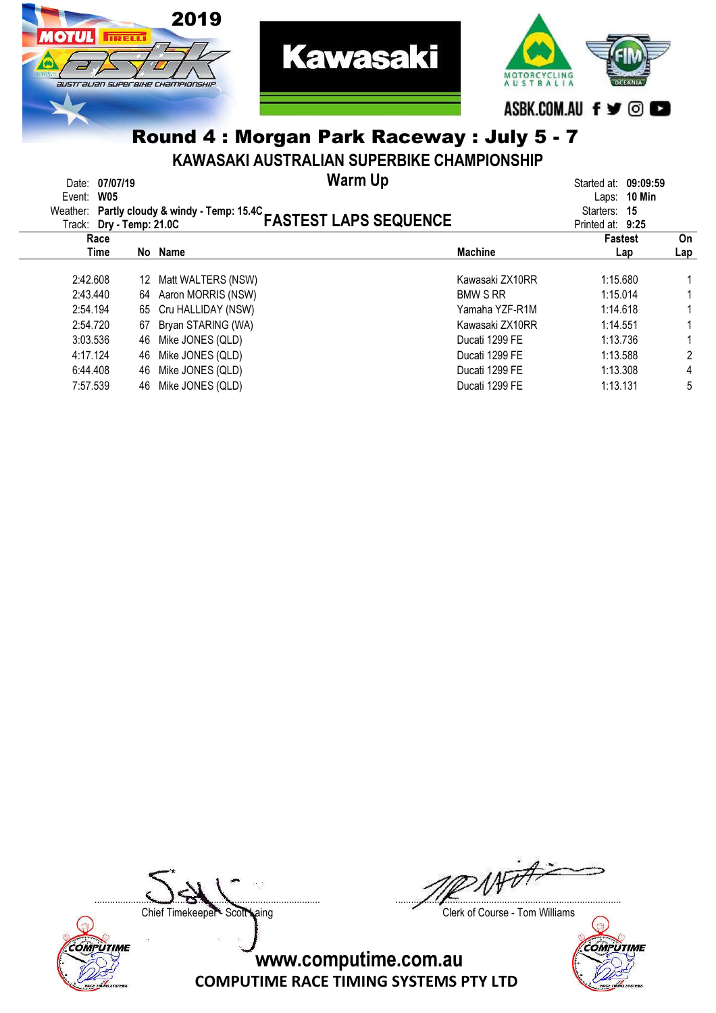

# Round 4 : Morgan Park Raceway : July 5 - 7

#### KAWASAKI AUSTRALIAN SUPERBIKE CHAMPIONSHIP

| Date: 07/07/19<br><b>W05</b><br>Event:<br>Track: Dry - Temp: 21.0C |    | Weather: Partly cloudy & windy - Temp: 15.4C | <b>Warm Up</b><br><b>FASTEST LAPS SEQUENCE</b> |                 | Started at: 09:09:59<br>Laps: $10$ Min<br>Starters: 15<br>Printed at: 9:25 |                |
|--------------------------------------------------------------------|----|----------------------------------------------|------------------------------------------------|-----------------|----------------------------------------------------------------------------|----------------|
| Race                                                               |    |                                              |                                                |                 | <b>Fastest</b>                                                             | On             |
| Time                                                               |    | No Name                                      |                                                | <b>Machine</b>  | Lap                                                                        | Lap            |
| 2:42.608                                                           | 12 | Matt WALTERS (NSW)                           |                                                | Kawasaki ZX10RR | 1:15.680                                                                   |                |
| 2:43.440                                                           |    | 64 Aaron MORRIS (NSW)                        |                                                | <b>BMW S RR</b> | 1:15.014                                                                   |                |
| 2:54.194                                                           |    | 65 Cru HALLIDAY (NSW)                        |                                                | Yamaha YZF-R1M  | 1:14.618                                                                   |                |
| 2:54.720                                                           |    | 67 Bryan STARING (WA)                        |                                                | Kawasaki ZX10RR | 1:14.551                                                                   |                |
| 3:03.536                                                           | 46 | Mike JONES (QLD)                             |                                                | Ducati 1299 FE  | 1:13.736                                                                   |                |
| 4:17.124                                                           | 46 | Mike JONES (QLD)                             |                                                | Ducati 1299 FE  | 1:13.588                                                                   | $\overline{2}$ |
| 6:44.408                                                           | 46 | Mike JONES (QLD)                             |                                                | Ducati 1299 FE  | 1:13.308                                                                   | 4              |
| 7:57.539                                                           | 46 | Mike JONES (QLD)                             |                                                | Ducati 1299 FE  | 1:13.131                                                                   | 5              |



....................................................................................... .......................................................................................

Chief Timekeeper - Scott Laing Chief Timekeeper - Scott Laing

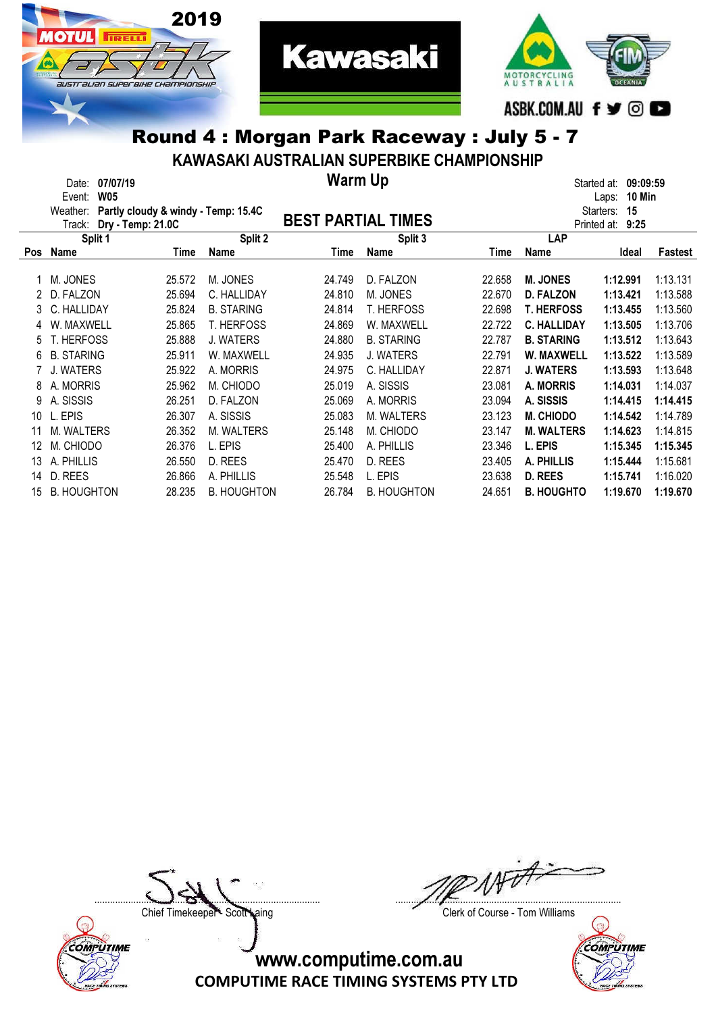



# Round 4 : Morgan Park Raceway : July 5 - 7

KAWASAKI AUSTRALIAN SUPERBIKE CHAMPIONSHIP

|            | 07/07/19<br>Date:    |                                     |                    | <b>Warm Up</b>            |                    |        |                    | 09:09:59<br>Started at: |          |
|------------|----------------------|-------------------------------------|--------------------|---------------------------|--------------------|--------|--------------------|-------------------------|----------|
|            | <b>W05</b><br>Event: |                                     |                    |                           |                    |        |                    | 10 Min<br>Laps:         |          |
|            | Weather:             | Partly cloudy & windy - Temp: 15.4C |                    |                           |                    |        |                    | Starters:<br>15         |          |
|            | Track:               | Dry - Temp: 21.0C                   |                    | <b>BEST PARTIAL TIMES</b> |                    |        |                    | Printed at:<br>9:25     |          |
|            | Split 1              |                                     | Split 2            |                           | Split 3            |        | LAP                |                         |          |
| <b>Pos</b> | Name                 | Time                                | Name               | Time                      | <b>Name</b>        | Time   | Name               | Ideal                   | Fastest  |
|            | M. JONES             | 25.572                              | M. JONES           | 24.749                    | D. FALZON          | 22.658 | <b>M. JONES</b>    | 1:12.991                | 1:13.131 |
|            | D. FALZON            | 25.694                              | C. HALLIDAY        | 24.810                    | M. JONES           | 22.670 | <b>D. FALZON</b>   | 1:13.421                | 1:13.588 |
| 3.         | C. HALLIDAY          | 25.824                              | <b>B. STARING</b>  | 24.814                    | <b>T. HERFOSS</b>  | 22.698 | <b>T. HERFOSS</b>  | 1:13.455                | 1:13.560 |
|            | W. MAXWELL           | 25.865                              | <b>T. HERFOSS</b>  | 24.869                    | W. MAXWELL         | 22.722 | <b>C. HALLIDAY</b> | 1:13.505                | 1:13.706 |
| 5.         | <b>T. HERFOSS</b>    | 25.888                              | J. WATERS          | 24.880                    | <b>B. STARING</b>  | 22.787 | <b>B. STARING</b>  | 1:13.512                | 1:13.643 |
| 6          | <b>B. STARING</b>    | 25.911                              | W. MAXWELL         | 24.935                    | J. WATERS          | 22.791 | W. MAXWELL         | 1:13.522                | 1:13.589 |
|            | J. WATERS            | 25.922                              | A. MORRIS          | 24.975                    | C. HALLIDAY        | 22.871 | <b>J. WATERS</b>   | 1:13.593                | 1:13.648 |
| 8          | A. MORRIS            | 25.962                              | M. CHIODO          | 25.019                    | A. SISSIS          | 23.081 | <b>A. MORRIS</b>   | 1:14.031                | 1:14.037 |
| 9          | A. SISSIS            | 26.251                              | D. FALZON          | 25.069                    | A. MORRIS          | 23.094 | A. SISSIS          | 1:14.415                | 1:14.415 |
| 10         | L. EPIS              | 26.307                              | A. SISSIS          | 25.083                    | M. WALTERS         | 23.123 | <b>M. CHIODO</b>   | 1:14.542                | 1:14.789 |
| 11         | <b>M. WALTERS</b>    | 26.352                              | M. WALTERS         | 25.148                    | M. CHIODO          | 23.147 | <b>M. WALTERS</b>  | 1:14.623                | 1:14.815 |
| 12         | M. CHIODO            | 26.376                              | L. EPIS            | 25.400                    | A. PHILLIS         | 23.346 | L. EPIS            | 1:15.345                | 1:15.345 |
| 13         | A. PHILLIS           | 26.550                              | D. REES            | 25.470                    | D. REES            | 23.405 | A. PHILLIS         | 1:15.444                | 1:15.681 |
| 14         | D. REES              | 26.866                              | A. PHILLIS         | 25.548                    | L. EPIS            | 23.638 | D. REES            | 1:15.741                | 1:16.020 |
| 15         | <b>B. HOUGHTON</b>   | 28.235                              | <b>B. HOUGHTON</b> | 26.784                    | <b>B. HOUGHTON</b> | 24.651 | <b>B. HOUGHTO</b>  | 1:19.670                | 1:19.670 |



....................................................................................... .......................................................................................

Chief Timekeeper - Scott Laing Clerk of Course - Tom Williams